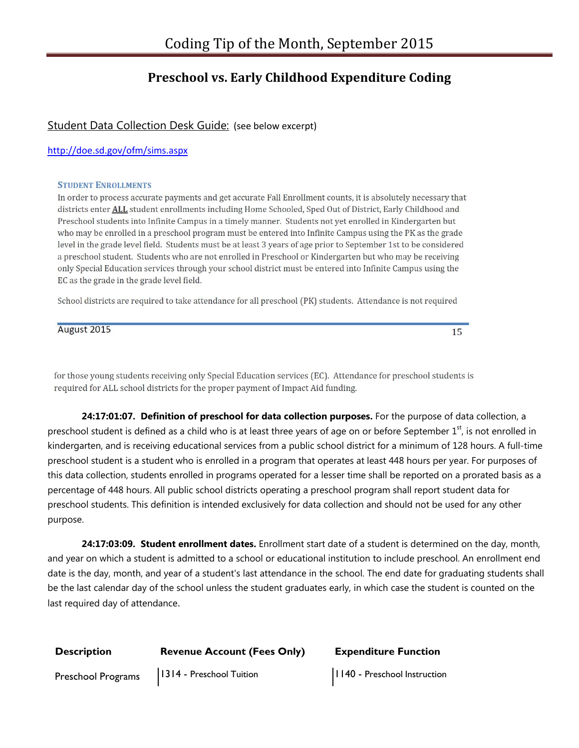## **Preschool vs. Early Childhood Expenditure Coding**

### Student Data Collection Desk Guide: (see below excerpt)

#### http://doe.sd.gov/ofm/sims.aspx

#### **STUDENT ENROLLMENTS**

In order to process accurate payments and get accurate Fall Enrollment counts, it is absolutely necessary that districts enter ALL student enrollments including Home Schooled, Sped Out of District, Early Childhood and Preschool students into Infinite Campus in a timely manner. Students not yet enrolled in Kindergarten but who may be enrolled in a preschool program must be entered into Infinite Campus using the PK as the grade level in the grade level field. Students must be at least 3 years of age prior to September 1st to be considered a preschool student. Students who are not enrolled in Preschool or Kindergarten but who may be receiving only Special Education services through your school district must be entered into Infinite Campus using the EC as the grade in the grade level field.

School districts are required to take attendance for all preschool (PK) students. Attendance is not required

August 2015

15

for those young students receiving only Special Education services (EC). Attendance for preschool students is required for ALL school districts for the proper payment of Impact Aid funding.

**24:17:01:07. Definition of preschool for data collection purposes.** For the purpose of data collection, a preschool student is defined as a child who is at least three years of age on or before September  $1<sup>st</sup>$ , is not enrolled in kindergarten, and is receiving educational services from a public school district for a minimum of 128 hours. A full-time preschool student is a student who is enrolled in a program that operates at least 448 hours per year. For purposes of this data collection, students enrolled in programs operated for a lesser time shall be reported on a prorated basis as a percentage of 448 hours. All public school districts operating a preschool program shall report student data for preschool students. This definition is intended exclusively for data collection and should not be used for any other purpose.

**24:17:03:09. Student enrollment dates.** Enrollment start date of a student is determined on the day, month, and year on which a student is admitted to a school or educational institution to include preschool. An enrollment end date is the day, month, and year of a student's last attendance in the school. The end date for graduating students shall be the last calendar day of the school unless the student graduates early, in which case the student is counted on the last required day of attendance.

| <b>Description</b> | <b>Revenue Account (Fees Only)</b> | <b>Expenditure Function</b> |
|--------------------|------------------------------------|-----------------------------|
|                    |                                    |                             |

Preschool Programs | 1314 - Preschool Tuition | 1140 - Preschool Instruction